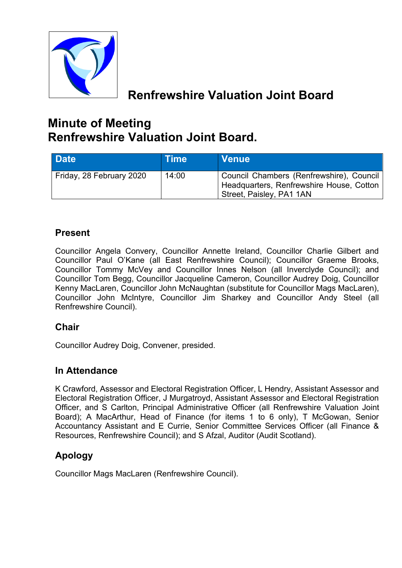

# **Renfrewshire Valuation Joint Board**

# **Minute of Meeting Renfrewshire Valuation Joint Board.**

| Date <sup>1</sup>        | <b>Time</b> | <b>Venue</b>                                                                                                     |
|--------------------------|-------------|------------------------------------------------------------------------------------------------------------------|
| Friday, 28 February 2020 | 14:00       | Council Chambers (Renfrewshire), Council<br>Headquarters, Renfrewshire House, Cotton<br>Street, Paisley, PA1 1AN |

# **Present**

Councillor Angela Convery, Councillor Annette Ireland, Councillor Charlie Gilbert and Councillor Paul O'Kane (all East Renfrewshire Council); Councillor Graeme Brooks, Councillor Tommy McVey and Councillor Innes Nelson (all Inverclyde Council); and Councillor Tom Begg, Councillor Jacqueline Cameron, Councillor Audrey Doig, Councillor Kenny MacLaren, Councillor John McNaughtan (substitute for Councillor Mags MacLaren), Councillor John McIntyre, Councillor Jim Sharkey and Councillor Andy Steel (all Renfrewshire Council).

# **Chair**

Councillor Audrey Doig, Convener, presided.

#### **In Attendance**

K Crawford, Assessor and Electoral Registration Officer, L Hendry, Assistant Assessor and Electoral Registration Officer, J Murgatroyd, Assistant Assessor and Electoral Registration Officer, and S Carlton, Principal Administrative Officer (all Renfrewshire Valuation Joint Board); A MacArthur, Head of Finance (for items 1 to 6 only), T McGowan, Senior Accountancy Assistant and E Currie, Senior Committee Services Officer (all Finance & Resources, Renfrewshire Council); and S Afzal, Auditor (Audit Scotland).

# **Apology**

Councillor Mags MacLaren (Renfrewshire Council).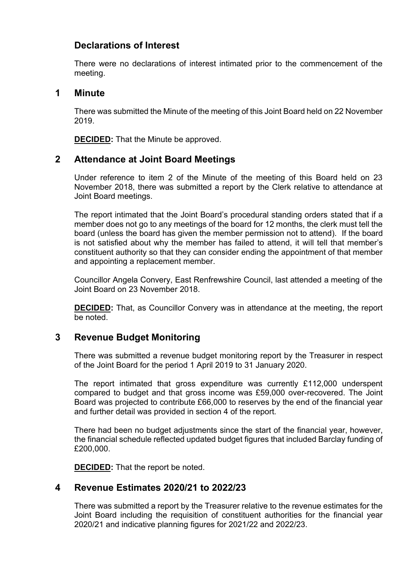## **Declarations of Interest**

There were no declarations of interest intimated prior to the commencement of the meeting.

#### **1 Minute**

There was submitted the Minute of the meeting of this Joint Board held on 22 November 2019.

**DECIDED:** That the Minute be approved.

#### **2 Attendance at Joint Board Meetings**

Under reference to item 2 of the Minute of the meeting of this Board held on 23 November 2018, there was submitted a report by the Clerk relative to attendance at Joint Board meetings.

The report intimated that the Joint Board's procedural standing orders stated that if a member does not go to any meetings of the board for 12 months, the clerk must tell the board (unless the board has given the member permission not to attend). If the board is not satisfied about why the member has failed to attend, it will tell that member's constituent authority so that they can consider ending the appointment of that member and appointing a replacement member.

Councillor Angela Convery, East Renfrewshire Council, last attended a meeting of the Joint Board on 23 November 2018.

**DECIDED:** That, as Councillor Convery was in attendance at the meeting, the report be noted.

#### **3 Revenue Budget Monitoring**

There was submitted a revenue budget monitoring report by the Treasurer in respect of the Joint Board for the period 1 April 2019 to 31 January 2020.

The report intimated that gross expenditure was currently £112,000 underspent compared to budget and that gross income was £59,000 over-recovered. The Joint Board was projected to contribute £66,000 to reserves by the end of the financial year and further detail was provided in section 4 of the report.

There had been no budget adjustments since the start of the financial year, however, the financial schedule reflected updated budget figures that included Barclay funding of £200,000.

**DECIDED:** That the report be noted.

## **4 Revenue Estimates 2020/21 to 2022/23**

There was submitted a report by the Treasurer relative to the revenue estimates for the Joint Board including the requisition of constituent authorities for the financial year 2020/21 and indicative planning figures for 2021/22 and 2022/23.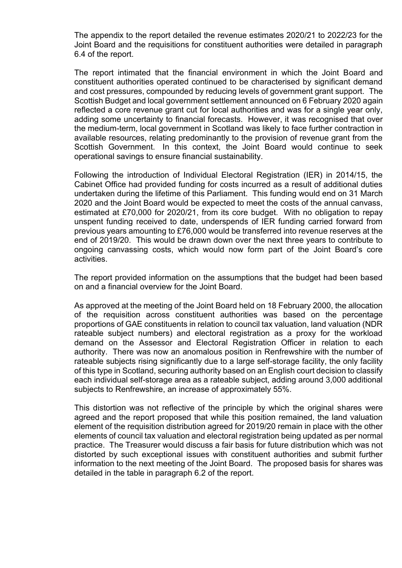The appendix to the report detailed the revenue estimates 2020/21 to 2022/23 for the Joint Board and the requisitions for constituent authorities were detailed in paragraph 6.4 of the report.

The report intimated that the financial environment in which the Joint Board and constituent authorities operated continued to be characterised by significant demand and cost pressures, compounded by reducing levels of government grant support. The Scottish Budget and local government settlement announced on 6 February 2020 again reflected a core revenue grant cut for local authorities and was for a single year only, adding some uncertainty to financial forecasts. However, it was recognised that over the medium-term, local government in Scotland was likely to face further contraction in available resources, relating predominantly to the provision of revenue grant from the Scottish Government. In this context, the Joint Board would continue to seek operational savings to ensure financial sustainability.

Following the introduction of Individual Electoral Registration (IER) in 2014/15, the Cabinet Office had provided funding for costs incurred as a result of additional duties undertaken during the lifetime of this Parliament. This funding would end on 31 March 2020 and the Joint Board would be expected to meet the costs of the annual canvass, estimated at £70,000 for 2020/21, from its core budget. With no obligation to repay unspent funding received to date, underspends of IER funding carried forward from previous years amounting to £76,000 would be transferred into revenue reserves at the end of 2019/20. This would be drawn down over the next three years to contribute to ongoing canvassing costs, which would now form part of the Joint Board's core activities.

The report provided information on the assumptions that the budget had been based on and a financial overview for the Joint Board.

As approved at the meeting of the Joint Board held on 18 February 2000, the allocation of the requisition across constituent authorities was based on the percentage proportions of GAE constituents in relation to council tax valuation, land valuation (NDR rateable subject numbers) and electoral registration as a proxy for the workload demand on the Assessor and Electoral Registration Officer in relation to each authority. There was now an anomalous position in Renfrewshire with the number of rateable subjects rising significantly due to a large self-storage facility, the only facility of this type in Scotland, securing authority based on an English court decision to classify each individual self-storage area as a rateable subject, adding around 3,000 additional subjects to Renfrewshire, an increase of approximately 55%.

This distortion was not reflective of the principle by which the original shares were agreed and the report proposed that while this position remained, the land valuation element of the requisition distribution agreed for 2019/20 remain in place with the other elements of council tax valuation and electoral registration being updated as per normal practice. The Treasurer would discuss a fair basis for future distribution which was not distorted by such exceptional issues with constituent authorities and submit further information to the next meeting of the Joint Board. The proposed basis for shares was detailed in the table in paragraph 6.2 of the report.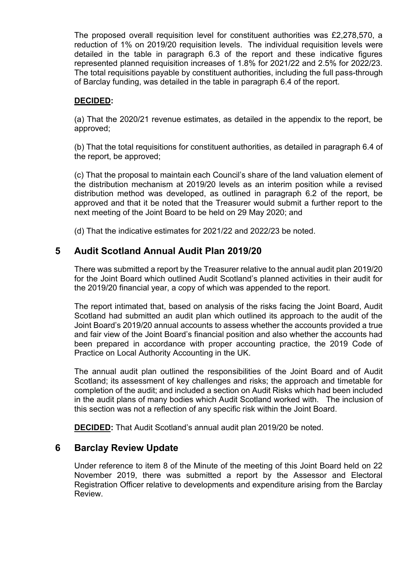The proposed overall requisition level for constituent authorities was £2,278,570, a reduction of 1% on 2019/20 requisition levels. The individual requisition levels were detailed in the table in paragraph 6.3 of the report and these indicative figures represented planned requisition increases of 1.8% for 2021/22 and 2.5% for 2022/23. The total requisitions payable by constituent authorities, including the full pass-through of Barclay funding, was detailed in the table in paragraph 6.4 of the report.

#### **DECIDED:**

(a) That the 2020/21 revenue estimates, as detailed in the appendix to the report, be approved;

(b) That the total requisitions for constituent authorities, as detailed in paragraph 6.4 of the report, be approved;

(c) That the proposal to maintain each Council's share of the land valuation element of the distribution mechanism at 2019/20 levels as an interim position while a revised distribution method was developed, as outlined in paragraph 6.2 of the report, be approved and that it be noted that the Treasurer would submit a further report to the next meeting of the Joint Board to be held on 29 May 2020; and

(d) That the indicative estimates for 2021/22 and 2022/23 be noted.

#### **5 Audit Scotland Annual Audit Plan 2019/20**

There was submitted a report by the Treasurer relative to the annual audit plan 2019/20 for the Joint Board which outlined Audit Scotland's planned activities in their audit for the 2019/20 financial year, a copy of which was appended to the report.

The report intimated that, based on analysis of the risks facing the Joint Board, Audit Scotland had submitted an audit plan which outlined its approach to the audit of the Joint Board's 2019/20 annual accounts to assess whether the accounts provided a true and fair view of the Joint Board's financial position and also whether the accounts had been prepared in accordance with proper accounting practice, the 2019 Code of Practice on Local Authority Accounting in the UK.

The annual audit plan outlined the responsibilities of the Joint Board and of Audit Scotland; its assessment of key challenges and risks; the approach and timetable for completion of the audit; and included a section on Audit Risks which had been included in the audit plans of many bodies which Audit Scotland worked with. The inclusion of this section was not a reflection of any specific risk within the Joint Board.

**DECIDED:** That Audit Scotland's annual audit plan 2019/20 be noted.

#### **6 Barclay Review Update**

Under reference to item 8 of the Minute of the meeting of this Joint Board held on 22 November 2019, there was submitted a report by the Assessor and Electoral Registration Officer relative to developments and expenditure arising from the Barclay **Review.**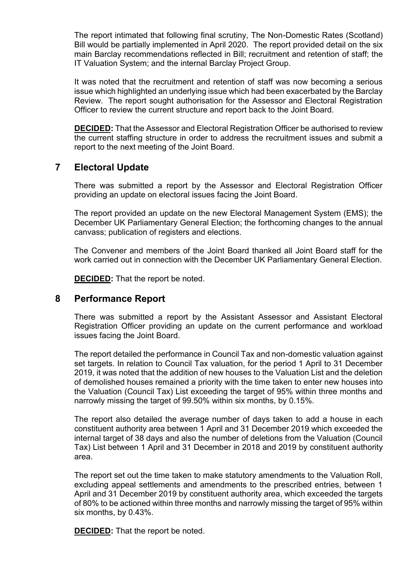The report intimated that following final scrutiny, The Non-Domestic Rates (Scotland) Bill would be partially implemented in April 2020. The report provided detail on the six main Barclay recommendations reflected in Bill; recruitment and retention of staff; the IT Valuation System; and the internal Barclay Project Group.

It was noted that the recruitment and retention of staff was now becoming a serious issue which highlighted an underlying issue which had been exacerbated by the Barclay Review. The report sought authorisation for the Assessor and Electoral Registration Officer to review the current structure and report back to the Joint Board.

**DECIDED:** That the Assessor and Electoral Registration Officer be authorised to review the current staffing structure in order to address the recruitment issues and submit a report to the next meeting of the Joint Board.

## **7 Electoral Update**

There was submitted a report by the Assessor and Electoral Registration Officer providing an update on electoral issues facing the Joint Board.

The report provided an update on the new Electoral Management System (EMS); the December UK Parliamentary General Election; the forthcoming changes to the annual canvass; publication of registers and elections.

The Convener and members of the Joint Board thanked all Joint Board staff for the work carried out in connection with the December UK Parliamentary General Election.

**DECIDED:** That the report be noted.

#### **8 Performance Report**

There was submitted a report by the Assistant Assessor and Assistant Electoral Registration Officer providing an update on the current performance and workload issues facing the Joint Board.

The report detailed the performance in Council Tax and non-domestic valuation against set targets. In relation to Council Tax valuation, for the period 1 April to 31 December 2019, it was noted that the addition of new houses to the Valuation List and the deletion of demolished houses remained a priority with the time taken to enter new houses into the Valuation (Council Tax) List exceeding the target of 95% within three months and narrowly missing the target of 99.50% within six months, by 0.15%.

The report also detailed the average number of days taken to add a house in each constituent authority area between 1 April and 31 December 2019 which exceeded the internal target of 38 days and also the number of deletions from the Valuation (Council Tax) List between 1 April and 31 December in 2018 and 2019 by constituent authority area.

The report set out the time taken to make statutory amendments to the Valuation Roll, excluding appeal settlements and amendments to the prescribed entries, between 1 April and 31 December 2019 by constituent authority area, which exceeded the targets of 80% to be actioned within three months and narrowly missing the target of 95% within six months, by 0.43%.

**DECIDED:** That the report be noted.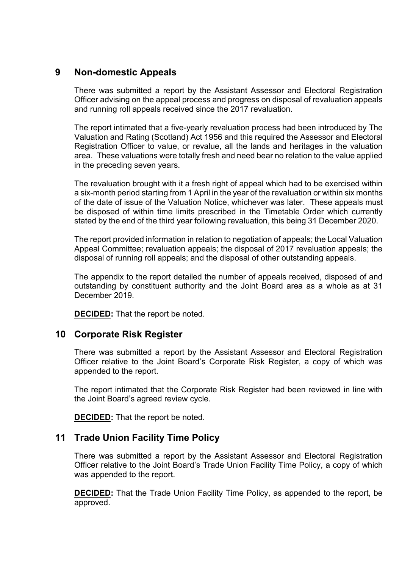## **9 Non-domestic Appeals**

There was submitted a report by the Assistant Assessor and Electoral Registration Officer advising on the appeal process and progress on disposal of revaluation appeals and running roll appeals received since the 2017 revaluation.

The report intimated that a five-yearly revaluation process had been introduced by The Valuation and Rating (Scotland) Act 1956 and this required the Assessor and Electoral Registration Officer to value, or revalue, all the lands and heritages in the valuation area. These valuations were totally fresh and need bear no relation to the value applied in the preceding seven years.

The revaluation brought with it a fresh right of appeal which had to be exercised within a six-month period starting from 1 April in the year of the revaluation or within six months of the date of issue of the Valuation Notice, whichever was later. These appeals must be disposed of within time limits prescribed in the Timetable Order which currently stated by the end of the third year following revaluation, this being 31 December 2020.

The report provided information in relation to negotiation of appeals; the Local Valuation Appeal Committee; revaluation appeals; the disposal of 2017 revaluation appeals; the disposal of running roll appeals; and the disposal of other outstanding appeals.

The appendix to the report detailed the number of appeals received, disposed of and outstanding by constituent authority and the Joint Board area as a whole as at 31 December 2019.

**DECIDED:** That the report be noted.

#### **10 Corporate Risk Register**

There was submitted a report by the Assistant Assessor and Electoral Registration Officer relative to the Joint Board's Corporate Risk Register, a copy of which was appended to the report.

The report intimated that the Corporate Risk Register had been reviewed in line with the Joint Board's agreed review cycle.

**DECIDED:** That the report be noted.

#### **11 Trade Union Facility Time Policy**

There was submitted a report by the Assistant Assessor and Electoral Registration Officer relative to the Joint Board's Trade Union Facility Time Policy, a copy of which was appended to the report.

**DECIDED:** That the Trade Union Facility Time Policy, as appended to the report, be approved.